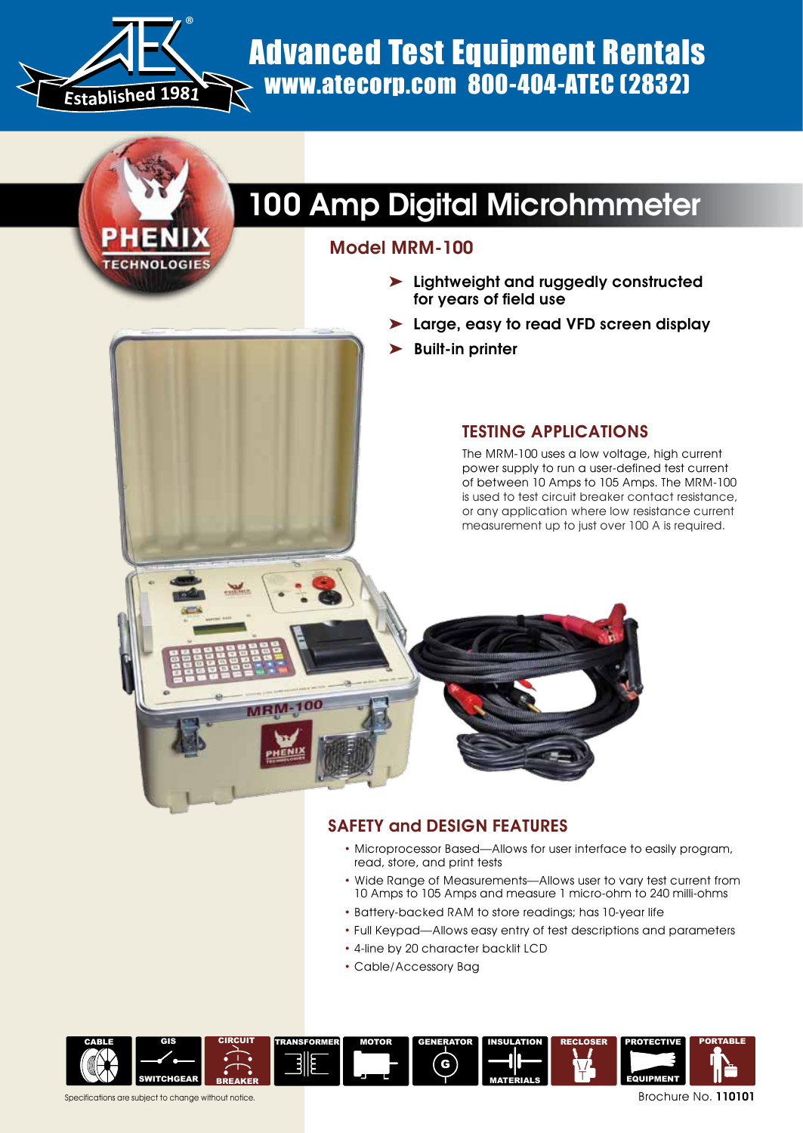

## **TECHNOLOGIE**

### Advanced Test Equipment Rentals www.atecorp.com 800-404-ATEC (2832)

## 100 Amp Digital Microhmmeter

### Model MRM-100

- ➤ Lightweight and ruggedly constructed for years of field use
- ➤ Large, easy to read VFD screen display
- ➤ Built-in printer

### Testing Applications

The MRM-100 uses a low voltage, high current power supply to run a user-defined test current of between 10 Amps to 105 Amps. The MRM-100 is used to test circuit breaker contact resistance, or any application where low resistance current measurement up to just over 100 A is required.

# MRM-

### **SAFETY and DESIGN FEATURES**

- Microprocessor Based—Allows for user interface to easily program, read, store, and print tests
- Wide Range of Measurements—Allows user to vary test current from 10 Amps to 105 Amps and measure 1 micro-ohm to 240 milli-ohms
- Battery-backed RAM to store readings; has 10-year life
- Full Keypad—Allows easy entry of test descriptions and parameters
- 4-line by 20 character backlit LCD
- Cable/Accessory Bag